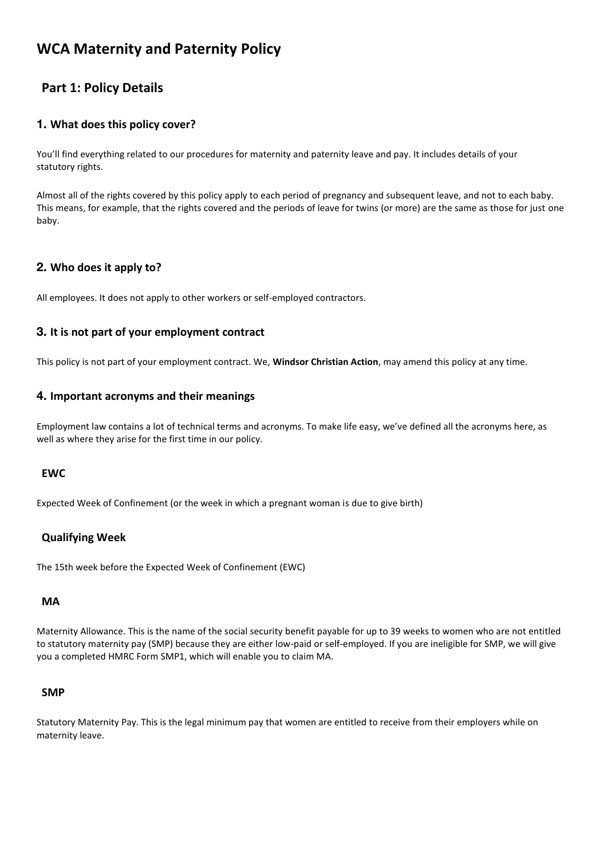# **WCA Maternity and Paternity Policy**

## **Part 1: Policy Details**

## **1. What does this policy cover?**

You'll find everything related to our procedures for maternity and paternity leave and pay. It includes details of your statutory rights.

Almost all of the rights covered by this policy apply to each period of pregnancy and subsequent leave, and not to each baby. This means, for example, that the rights covered and the periods of leave for twins (or more) are the same as those for just one baby.

## **2. Who does it apply to?**

All employees. It does not apply to other workers or self-employed contractors.

## **3. It is not part of your employment contract**

This policy is not part of your employment contract. We, **Windsor Christian Action**, may amend this policy at any time.

### **4. Important acronyms and their meanings**

Employment law contains a lot of technical terms and acronyms. To make life easy, we've defined all the acronyms here, as well as where they arise for the first time in our policy.

### **EWC**

Expected Week of Confinement (or the week in which a pregnant woman is due to give birth)

## **Qualifying Week**

The 15th week before the Expected Week of Confinement (EWC)

### **MA**

Maternity Allowance. This is the name of the social security benefit payable for up to 39 weeks to women who are not entitled to statutory maternity pay (SMP) because they are either low-paid or self-employed. If you are ineligible for SMP, we will give you a completed HMRC Form SMP1, which will enable you to claim MA.

### **SMP**

Statutory Maternity Pay. This is the legal minimum pay that women are entitled to receive from their employers while on maternity leave.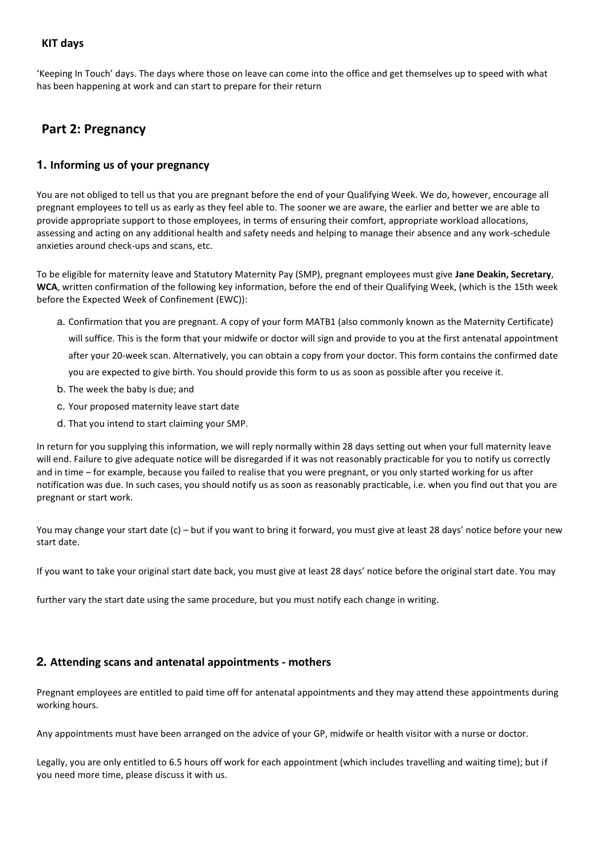## **KIT days**

'Keeping In Touch' days. The days where those on leave can come into the office and get themselves up to speed with what has been happening at work and can start to prepare for their return

## **Part 2: Pregnancy**

## **1. Informing us of your pregnancy**

You are not obliged to tell us that you are pregnant before the end of your Qualifying Week. We do, however, encourage all pregnant employees to tell us as early as they feel able to. The sooner we are aware, the earlier and better we are able to provide appropriate support to those employees, in terms of ensuring their comfort, appropriate workload allocations, assessing and acting on any additional health and safety needs and helping to manage their absence and any work-schedule anxieties around check-ups and scans, etc.

To be eligible for maternity leave and Statutory Maternity Pay (SMP), pregnant employees must give **Jane Deakin, Secretary**, **WCA**, written confirmation of the following key information, before the end of their Qualifying Week, (which is the 15th week before the Expected Week of Confinement (EWC)):

a. Confirmation that you are pregnant. A copy of your form MATB1 (also commonly known as the Maternity Certificate)

will suffice. This is the form that your midwife or doctor will sign and provide to you at the first antenatal appointment after your 20-week scan. Alternatively, you can obtain a copy from your doctor. This form contains the confirmed date you are expected to give birth. You should provide this form to us as soon as possible after you receive it.

- b. The week the baby is due; and
- c. Your proposed maternity leave start date
- d. That you intend to start claiming your SMP.

In return for you supplying this information, we will reply normally within 28 days setting out when your full maternity leave will end. Failure to give adequate notice will be disregarded if it was not reasonably practicable for you to notify us correctly and in time – for example, because you failed to realise that you were pregnant, or you only started working for us after notification was due. In such cases, you should notify us as soon as reasonably practicable, i.e. when you find out that you are pregnant or start work.

You may change your start date (c) – but if you want to bring it forward, you must give at least 28 days' notice before your new start date.

If you want to take your original start date back, you must give at least 28 days' notice before the original start date. You may

further vary the start date using the same procedure, but you must notify each change in writing.

## **2. Attending scans and antenatal appointments - mothers**

Pregnant employees are entitled to paid time off for antenatal appointments and they may attend these appointments during working hours.

Any appointments must have been arranged on the advice of your GP, midwife or health visitor with a nurse or doctor.

Legally, you are only entitled to 6.5 hours off work for each appointment (which includes travelling and waiting time); but if you need more time, please discuss it with us.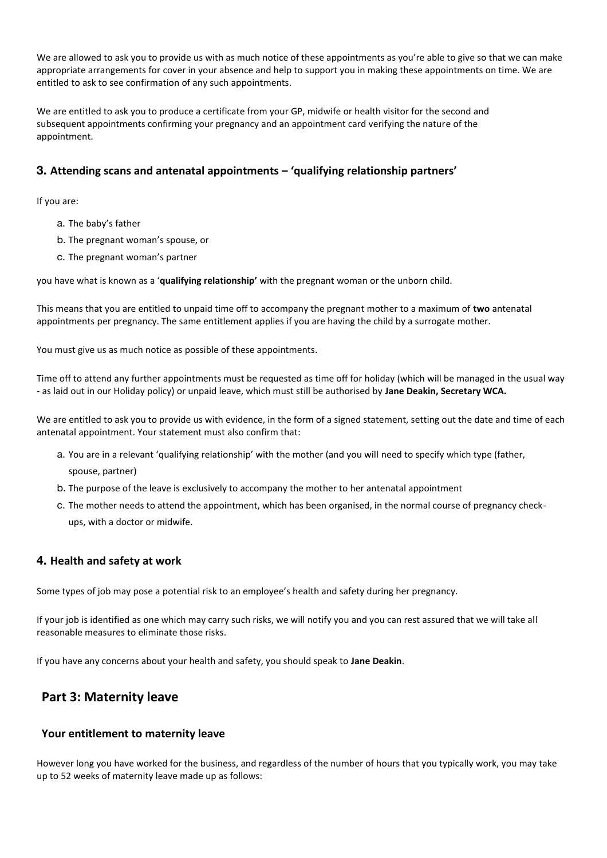We are allowed to ask you to provide us with as much notice of these appointments as you're able to give so that we can make appropriate arrangements for cover in your absence and help to support you in making these appointments on time. We are entitled to ask to see confirmation of any such appointments.

We are entitled to ask you to produce a certificate from your GP, midwife or health visitor for the second and subsequent appointments confirming your pregnancy and an appointment card verifying the nature of the appointment.

## **3. Attending scans and antenatal appointments – 'qualifying relationship partners'**

If you are:

- a. The baby's father
- b. The pregnant woman's spouse, or
- c. The pregnant woman's partner

you have what is known as a '**qualifying relationship'** with the pregnant woman or the unborn child.

This means that you are entitled to unpaid time off to accompany the pregnant mother to a maximum of **two** antenatal appointments per pregnancy. The same entitlement applies if you are having the child by a surrogate mother.

You must give us as much notice as possible of these appointments.

Time off to attend any further appointments must be requested as time off for holiday (which will be managed in the usual way - as laid out in our Holiday policy) or unpaid leave, which must still be authorised by **Jane Deakin, Secretary WCA.**

We are entitled to ask you to provide us with evidence, in the form of a signed statement, setting out the date and time of each antenatal appointment. Your statement must also confirm that:

- a. You are in a relevant 'qualifying relationship' with the mother (and you will need to specify which type (father, spouse, partner)
- b. The purpose of the leave is exclusively to accompany the mother to her antenatal appointment
- c. The mother needs to attend the appointment, which has been organised, in the normal course of pregnancy checkups, with a doctor or midwife.

## **4. Health and safety at work**

Some types of job may pose a potential risk to an employee's health and safety during her pregnancy.

If your job is identified as one which may carry such risks, we will notify you and you can rest assured that we will take all reasonable measures to eliminate those risks.

If you have any concerns about your health and safety, you should speak to **Jane Deakin**.

## **Part 3: Maternity leave**

### **Your entitlement to maternity leave**

However long you have worked for the business, and regardless of the number of hours that you typically work, you may take up to 52 weeks of maternity leave made up as follows: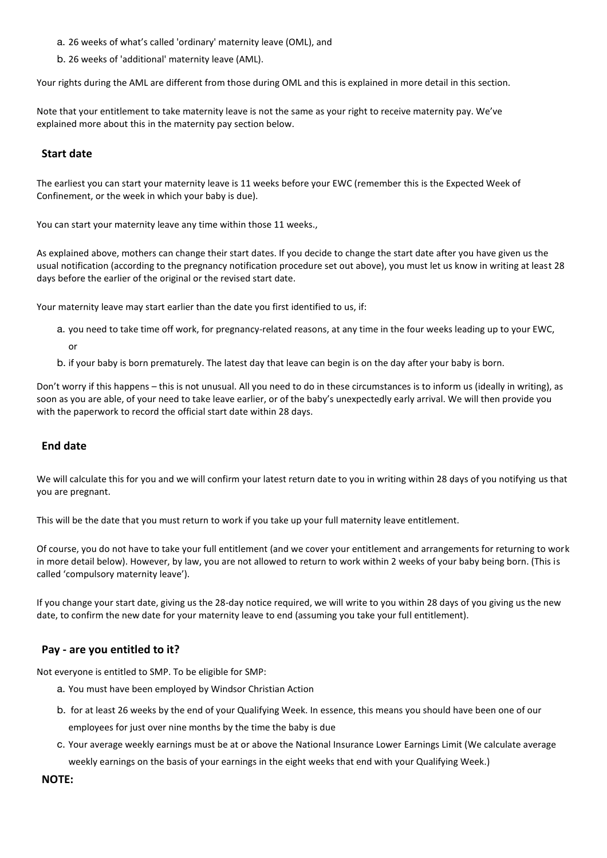- a. 26 weeks of what's called 'ordinary' maternity leave (OML), and
- b. 26 weeks of 'additional' maternity leave (AML).

Your rights during the AML are different from those during OML and this is explained in more detail in this section.

Note that your entitlement to take maternity leave is not the same as your right to receive maternity pay. We've explained more about this in the maternity pay section below.

### **Start date**

The earliest you can start your maternity leave is 11 weeks before your EWC (remember this is the Expected Week of Confinement, or the week in which your baby is due).

You can start your maternity leave any time within those 11 weeks.,

As explained above, mothers can change their start dates. If you decide to change the start date after you have given us the usual notification (according to the pregnancy notification procedure set out above), you must let us know in writing at least 28 days before the earlier of the original or the revised start date.

Your maternity leave may start earlier than the date you first identified to us, if:

- a. you need to take time off work, for pregnancy-related reasons, at any time in the four weeks leading up to your EWC, or
- b. if your baby is born prematurely. The latest day that leave can begin is on the day after your baby is born.

Don't worry if this happens – this is not unusual. All you need to do in these circumstances is to inform us (ideally in writing), as soon as you are able, of your need to take leave earlier, or of the baby's unexpectedly early arrival. We will then provide you with the paperwork to record the official start date within 28 days.

### **End date**

We will calculate this for you and we will confirm your latest return date to you in writing within 28 days of you notifying us that you are pregnant.

This will be the date that you must return to work if you take up your full maternity leave entitlement.

Of course, you do not have to take your full entitlement (and we cover your entitlement and arrangements for returning to work in more detail below). However, by law, you are not allowed to return to work within 2 weeks of your baby being born. (This is called 'compulsory maternity leave').

If you change your start date, giving us the 28-day notice required, we will write to you within 28 days of you giving us the new date, to confirm the new date for your maternity leave to end (assuming you take your full entitlement).

#### **Pay - are you entitled to it?**

Not everyone is entitled to SMP. To be eligible for SMP:

- a. You must have been employed by Windsor Christian Action
- b. for at least 26 weeks by the end of your Qualifying Week. In essence, this means you should have been one of our employees for just over nine months by the time the baby is due
- c. Your average weekly earnings must be at or above the National Insurance Lower Earnings Limit (We calculate average weekly earnings on the basis of your earnings in the eight weeks that end with your Qualifying Week.)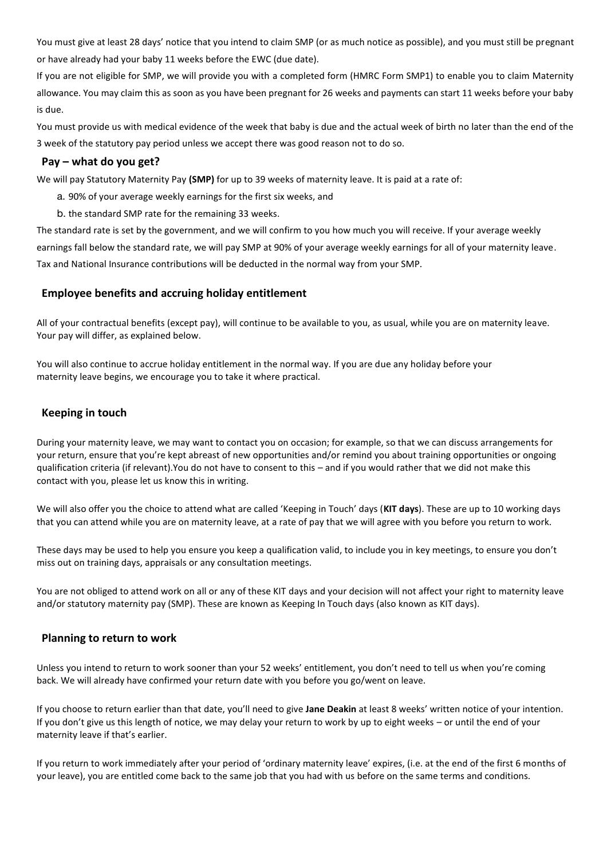You must give at least 28 days' notice that you intend to claim SMP (or as much notice as possible), and you must still be pregnant or have already had your baby 11 weeks before the EWC (due date).

If you are not eligible for SMP, we will provide you with a completed form (HMRC Form SMP1) to enable you to claim Maternity allowance. You may claim this as soon as you have been pregnant for 26 weeks and payments can start 11 weeks before your baby is due.

You must provide us with medical evidence of the week that baby is due and the actual week of birth no later than the end of the 3 week of the statutory pay period unless we accept there was good reason not to do so.

### **Pay – what do you get?**

We will pay Statutory Maternity Pay **(SMP)** for up to 39 weeks of maternity leave. It is paid at a rate of:

- a. 90% of your average weekly earnings for the first six weeks, and
- b. the standard SMP rate for the remaining 33 weeks.

The standard rate is set by the government, and we will confirm to you how much you will receive. If your average weekly earnings fall below the standard rate, we will pay SMP at 90% of your average weekly earnings for all of your maternity leave. Tax and National Insurance contributions will be deducted in the normal way from your SMP.

## **Employee benefits and accruing holiday entitlement**

All of your contractual benefits (except pay), will continue to be available to you, as usual, while you are on maternity leave. Your pay will differ, as explained below.

You will also continue to accrue holiday entitlement in the normal way. If you are due any holiday before your maternity leave begins, we encourage you to take it where practical.

### **Keeping in touch**

During your maternity leave, we may want to contact you on occasion; for example, so that we can discuss arrangements for your return, ensure that you're kept abreast of new opportunities and/or remind you about training opportunities or ongoing qualification criteria (if relevant).You do not have to consent to this – and if you would rather that we did not make this contact with you, please let us know this in writing.

We will also offer you the choice to attend what are called 'Keeping in Touch' days (**KIT days**). These are up to 10 working days that you can attend while you are on maternity leave, at a rate of pay that we will agree with you before you return to work.

These days may be used to help you ensure you keep a qualification valid, to include you in key meetings, to ensure you don't miss out on training days, appraisals or any consultation meetings.

You are not obliged to attend work on all or any of these KIT days and your decision will not affect your right to maternity leave and/or statutory maternity pay (SMP). These are known as Keeping In Touch days (also known as KIT days).

### **Planning to return to work**

Unless you intend to return to work sooner than your 52 weeks' entitlement, you don't need to tell us when you're coming back. We will already have confirmed your return date with you before you go/went on leave.

If you choose to return earlier than that date, you'll need to give **Jane Deakin** at least 8 weeks' written notice of your intention. If you don't give us this length of notice, we may delay your return to work by up to eight weeks – or until the end of your maternity leave if that's earlier.

If you return to work immediately after your period of 'ordinary maternity leave' expires, (i.e. at the end of the first 6 months of your leave), you are entitled come back to the same job that you had with us before on the same terms and conditions.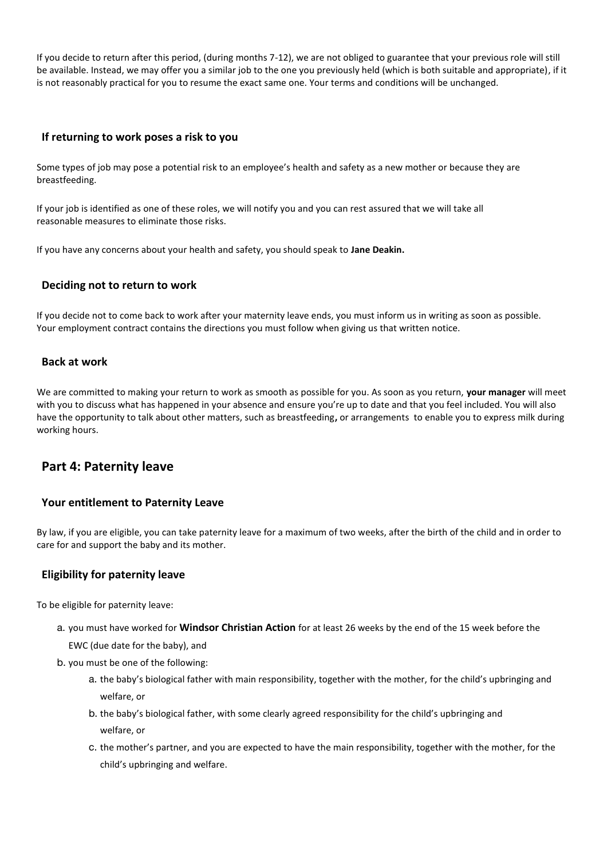If you decide to return after this period, (during months 7-12), we are not obliged to guarantee that your previous role will still be available. Instead, we may offer you a similar job to the one you previously held (which is both suitable and appropriate), if it is not reasonably practical for you to resume the exact same one. Your terms and conditions will be unchanged.

### **If returning to work poses a risk to you**

Some types of job may pose a potential risk to an employee's health and safety as a new mother or because they are breastfeeding.

If your job is identified as one of these roles, we will notify you and you can rest assured that we will take all reasonable measures to eliminate those risks.

If you have any concerns about your health and safety, you should speak to **Jane Deakin.**

### **Deciding not to return to work**

If you decide not to come back to work after your maternity leave ends, you must inform us in writing as soon as possible. Your employment contract contains the directions you must follow when giving us that written notice.

### **Back at work**

We are committed to making your return to work as smooth as possible for you. As soon as you return, **your manager** will meet with you to discuss what has happened in your absence and ensure you're up to date and that you feel included. You will also have the opportunity to talk about other matters, such as breastfeeding**,** or arrangements to enable you to express milk during working hours.

## **Part 4: Paternity leave**

### **Your entitlement to Paternity Leave**

By law, if you are eligible, you can take paternity leave for a maximum of two weeks, after the birth of the child and in order to care for and support the baby and its mother.

## **Eligibility for paternity leave**

To be eligible for paternity leave:

- a. you must have worked for **Windsor Christian Action** for at least 26 weeks by the end of the 15 week before the
	- EWC (due date for the baby), and
- b. you must be one of the following:
	- a. the baby's biological father with main responsibility, together with the mother, for the child's upbringing and welfare, or
	- b. the baby's biological father, with some clearly agreed responsibility for the child's upbringing and welfare, or
	- c. the mother's partner, and you are expected to have the main responsibility, together with the mother, for the child's upbringing and welfare.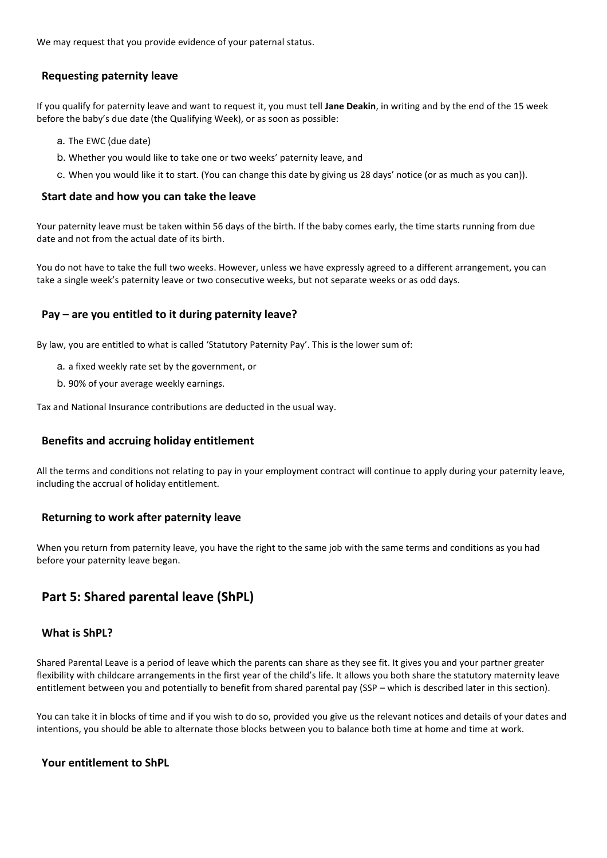We may request that you provide evidence of your paternal status.

### **Requesting paternity leave**

If you qualify for paternity leave and want to request it, you must tell **Jane Deakin**, in writing and by the end of the 15 week before the baby's due date (the Qualifying Week), or as soon as possible:

- a. The EWC (due date)
- b. Whether you would like to take one or two weeks' paternity leave, and
- c. When you would like it to start. (You can change this date by giving us 28 days' notice (or as much as you can)).

### **Start date and how you can take the leave**

Your paternity leave must be taken within 56 days of the birth. If the baby comes early, the time starts running from due date and not from the actual date of its birth.

You do not have to take the full two weeks. However, unless we have expressly agreed to a different arrangement, you can take a single week's paternity leave or two consecutive weeks, but not separate weeks or as odd days.

### **Pay – are you entitled to it during paternity leave?**

By law, you are entitled to what is called 'Statutory Paternity Pay'. This is the lower sum of:

- a. a fixed weekly rate set by the government, or
- b. 90% of your average weekly earnings.

Tax and National Insurance contributions are deducted in the usual way.

## **Benefits and accruing holiday entitlement**

All the terms and conditions not relating to pay in your employment contract will continue to apply during your paternity leave, including the accrual of holiday entitlement.

## **Returning to work after paternity leave**

When you return from paternity leave, you have the right to the same job with the same terms and conditions as you had before your paternity leave began.

## **Part 5: Shared parental leave (ShPL)**

### **What is ShPL?**

Shared Parental Leave is a period of leave which the parents can share as they see fit. It gives you and your partner greater flexibility with childcare arrangements in the first year of the child's life. It allows you both share the statutory maternity leave entitlement between you and potentially to benefit from shared parental pay (SSP – which is described later in this section).

You can take it in blocks of time and if you wish to do so, provided you give us the relevant notices and details of your dates and intentions, you should be able to alternate those blocks between you to balance both time at home and time at work.

## **Your entitlement to ShPL**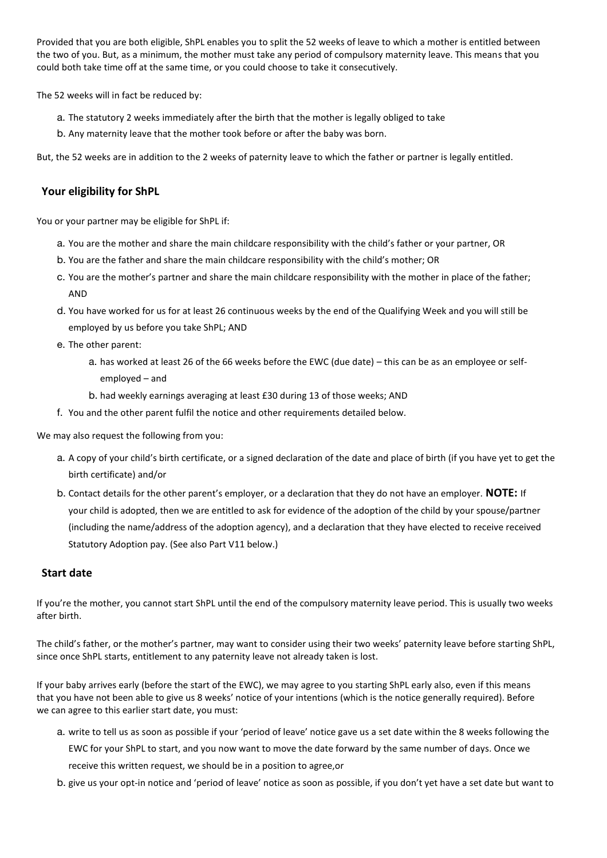Provided that you are both eligible, ShPL enables you to split the 52 weeks of leave to which a mother is entitled between the two of you. But, as a minimum, the mother must take any period of compulsory maternity leave. This means that you could both take time off at the same time, or you could choose to take it consecutively.

The 52 weeks will in fact be reduced by:

- a. The statutory 2 weeks immediately after the birth that the mother is legally obliged to take
- b. Any maternity leave that the mother took before or after the baby was born.

But, the 52 weeks are in addition to the 2 weeks of paternity leave to which the father or partner is legally entitled.

### **Your eligibility for ShPL**

You or your partner may be eligible for ShPL if:

- a. You are the mother and share the main childcare responsibility with the child's father or your partner, OR
- b. You are the father and share the main childcare responsibility with the child's mother; OR
- c. You are the mother's partner and share the main childcare responsibility with the mother in place of the father; AND
- d. You have worked for us for at least 26 continuous weeks by the end of the Qualifying Week and you will still be employed by us before you take ShPL; AND
- e. The other parent:
	- a. has worked at least 26 of the 66 weeks before the EWC (due date) this can be as an employee or selfemployed – and
	- b. had weekly earnings averaging at least £30 during 13 of those weeks; AND
- f. You and the other parent fulfil the notice and other requirements detailed below.

We may also request the following from you:

- a. A copy of your child's birth certificate, or a signed declaration of the date and place of birth (if you have yet to get the birth certificate) and/or
- b. Contact details for the other parent's employer, or a declaration that they do not have an employer. **NOTE:** If your child is adopted, then we are entitled to ask for evidence of the adoption of the child by your spouse/partner (including the name/address of the adoption agency), and a declaration that they have elected to receive received Statutory Adoption pay. (See also Part V11 below.)

### **Start date**

If you're the mother, you cannot start ShPL until the end of the compulsory maternity leave period. This is usually two weeks after birth.

The child's father, or the mother's partner, may want to consider using their two weeks' paternity leave before starting ShPL, since once ShPL starts, entitlement to any paternity leave not already taken is lost.

If your baby arrives early (before the start of the EWC), we may agree to you starting ShPL early also, even if this means that you have not been able to give us 8 weeks' notice of your intentions (which is the notice generally required). Before we can agree to this earlier start date, you must:

- a. write to tell us as soon as possible if your 'period of leave' notice gave us a set date within the 8 weeks following the EWC for your ShPL to start, and you now want to move the date forward by the same number of days. Once we receive this written request, we should be in a position to agree,or
- b. give us your opt-in notice and 'period of leave' notice as soon as possible, if you don't yet have a set date but want to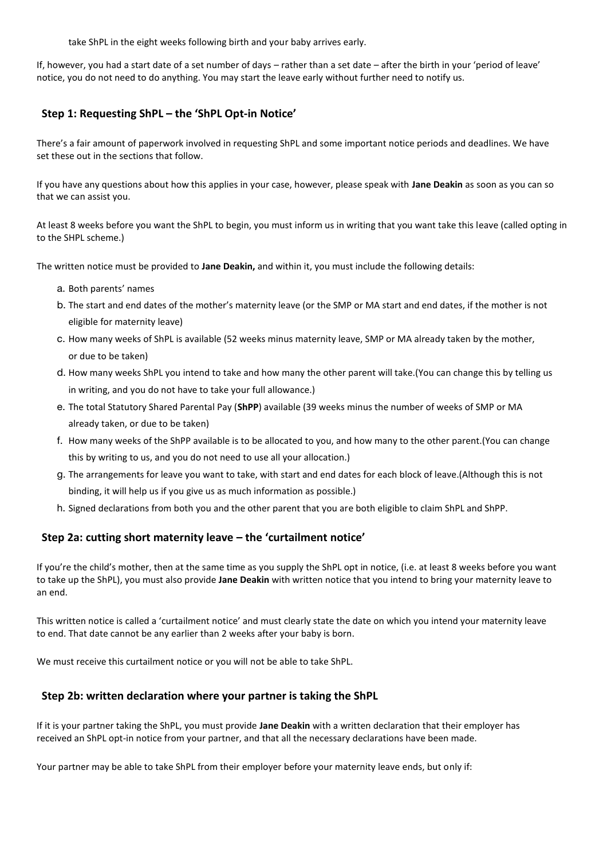take ShPL in the eight weeks following birth and your baby arrives early.

If, however, you had a start date of a set number of days – rather than a set date – after the birth in your 'period of leave' notice, you do not need to do anything. You may start the leave early without further need to notify us.

## **Step 1: Requesting ShPL – the 'ShPL Opt-in Notice'**

There's a fair amount of paperwork involved in requesting ShPL and some important notice periods and deadlines. We have set these out in the sections that follow.

If you have any questions about how this applies in your case, however, please speak with **Jane Deakin** as soon as you can so that we can assist you.

At least 8 weeks before you want the ShPL to begin, you must inform us in writing that you want take this leave (called opting in to the SHPL scheme.)

The written notice must be provided to **Jane Deakin,** and within it, you must include the following details:

- a. Both parents' names
- b. The start and end dates of the mother's maternity leave (or the SMP or MA start and end dates, if the mother is not eligible for maternity leave)
- c. How many weeks of ShPL is available (52 weeks minus maternity leave, SMP or MA already taken by the mother, or due to be taken)
- d. How many weeks ShPL you intend to take and how many the other parent will take.(You can change this by telling us in writing, and you do not have to take your full allowance.)
- e. The total Statutory Shared Parental Pay (**ShPP**) available (39 weeks minus the number of weeks of SMP or MA already taken, or due to be taken)
- f. How many weeks of the ShPP available is to be allocated to you, and how many to the other parent.(You can change this by writing to us, and you do not need to use all your allocation.)
- g. The arrangements for leave you want to take, with start and end dates for each block of leave.(Although this is not binding, it will help us if you give us as much information as possible.)
- h. Signed declarations from both you and the other parent that you are both eligible to claim ShPL and ShPP.

## **Step 2a: cutting short maternity leave – the 'curtailment notice'**

If you're the child's mother, then at the same time as you supply the ShPL opt in notice, (i.e. at least 8 weeks before you want to take up the ShPL), you must also provide **Jane Deakin** with written notice that you intend to bring your maternity leave to an end.

This written notice is called a 'curtailment notice' and must clearly state the date on which you intend your maternity leave to end. That date cannot be any earlier than 2 weeks after your baby is born.

We must receive this curtailment notice or you will not be able to take ShPL.

## **Step 2b: written declaration where your partner is taking the ShPL**

If it is your partner taking the ShPL, you must provide **Jane Deakin** with a written declaration that their employer has received an ShPL opt-in notice from your partner, and that all the necessary declarations have been made.

Your partner may be able to take ShPL from their employer before your maternity leave ends, but only if: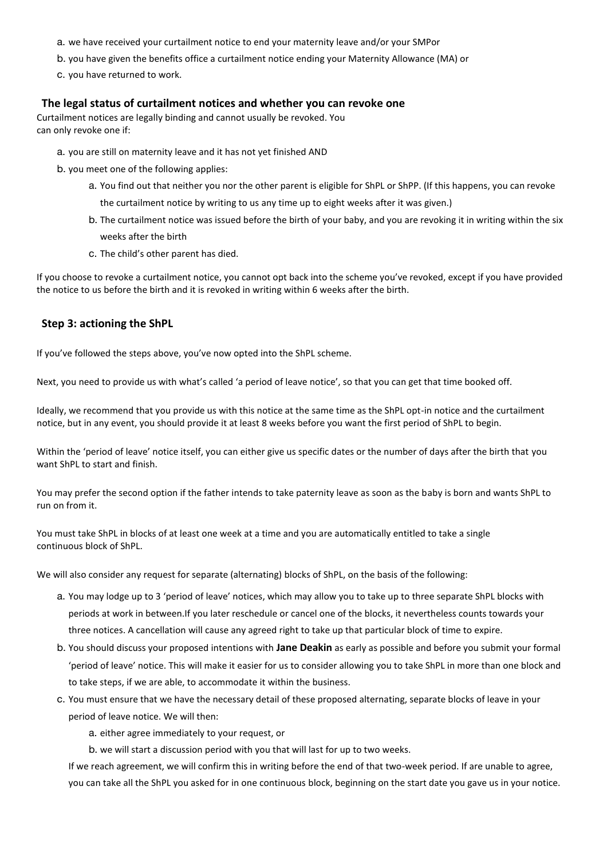- a. we have received your curtailment notice to end your maternity leave and/or your SMPor
- b. you have given the benefits office a curtailment notice ending your Maternity Allowance (MA) or
- c. you have returned to work.

#### **The legal status of curtailment notices and whether you can revoke one**

Curtailment notices are legally binding and cannot usually be revoked. You can only revoke one if:

- a. you are still on maternity leave and it has not yet finished AND
- b. you meet one of the following applies:
	- a. You find out that neither you nor the other parent is eligible for ShPL or ShPP. (If this happens, you can revoke the curtailment notice by writing to us any time up to eight weeks after it was given.)
	- b. The curtailment notice was issued before the birth of your baby, and you are revoking it in writing within the six weeks after the birth
	- c. The child's other parent has died.

If you choose to revoke a curtailment notice, you cannot opt back into the scheme you've revoked, except if you have provided the notice to us before the birth and it is revoked in writing within 6 weeks after the birth.

### **Step 3: actioning the ShPL**

If you've followed the steps above, you've now opted into the ShPL scheme.

Next, you need to provide us with what's called 'a period of leave notice', so that you can get that time booked off.

Ideally, we recommend that you provide us with this notice at the same time as the ShPL opt-in notice and the curtailment notice, but in any event, you should provide it at least 8 weeks before you want the first period of ShPL to begin.

Within the 'period of leave' notice itself, you can either give us specific dates or the number of days after the birth that you want ShPL to start and finish.

You may prefer the second option if the father intends to take paternity leave as soon as the baby is born and wants ShPL to run on from it.

You must take ShPL in blocks of at least one week at a time and you are automatically entitled to take a single continuous block of ShPL.

We will also consider any request for separate (alternating) blocks of ShPL, on the basis of the following:

- a. You may lodge up to 3 'period of leave' notices, which may allow you to take up to three separate ShPL blocks with periods at work in between.If you later reschedule or cancel one of the blocks, it nevertheless counts towards your three notices. A cancellation will cause any agreed right to take up that particular block of time to expire.
- b. You should discuss your proposed intentions with **Jane Deakin** as early as possible and before you submit your formal 'period of leave' notice. This will make it easier for us to consider allowing you to take ShPL in more than one block and to take steps, if we are able, to accommodate it within the business.
- c. You must ensure that we have the necessary detail of these proposed alternating, separate blocks of leave in your period of leave notice. We will then:

a. either agree immediately to your request, or

b. we will start a discussion period with you that will last for up to two weeks.

If we reach agreement, we will confirm this in writing before the end of that two-week period. If are unable to agree, you can take all the ShPL you asked for in one continuous block, beginning on the start date you gave us in your notice.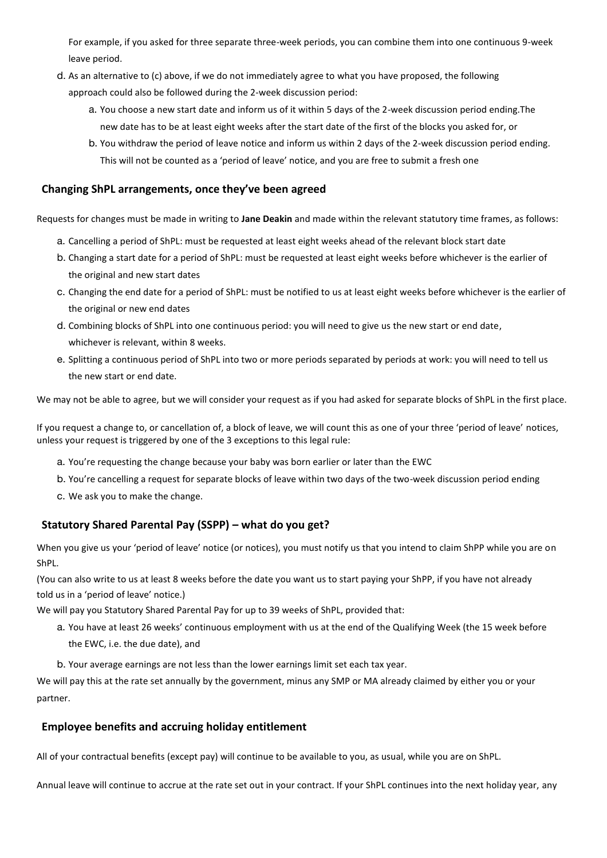For example, if you asked for three separate three-week periods, you can combine them into one continuous 9-week leave period.

- d. As an alternative to (c) above, if we do not immediately agree to what you have proposed, the following approach could also be followed during the 2-week discussion period:
	- a. You choose a new start date and inform us of it within 5 days of the 2-week discussion period ending.The new date has to be at least eight weeks after the start date of the first of the blocks you asked for, or
	- b. You withdraw the period of leave notice and inform us within 2 days of the 2-week discussion period ending. This will not be counted as a 'period of leave' notice, and you are free to submit a fresh one

## **Changing ShPL arrangements, once they've been agreed**

Requests for changes must be made in writing to **Jane Deakin** and made within the relevant statutory time frames, as follows:

- a. Cancelling a period of ShPL: must be requested at least eight weeks ahead of the relevant block start date
- b. Changing a start date for a period of ShPL: must be requested at least eight weeks before whichever is the earlier of the original and new start dates
- c. Changing the end date for a period of ShPL: must be notified to us at least eight weeks before whichever is the earlier of the original or new end dates
- d. Combining blocks of ShPL into one continuous period: you will need to give us the new start or end date, whichever is relevant, within 8 weeks.
- e. Splitting a continuous period of ShPL into two or more periods separated by periods at work: you will need to tell us the new start or end date.

We may not be able to agree, but we will consider your request as if you had asked for separate blocks of ShPL in the first place.

If you request a change to, or cancellation of, a block of leave, we will count this as one of your three 'period of leave' notices, unless your request is triggered by one of the 3 exceptions to this legal rule:

- a. You're requesting the change because your baby was born earlier or later than the EWC
- b. You're cancelling a request for separate blocks of leave within two days of the two-week discussion period ending
- c. We ask you to make the change.

## **Statutory Shared Parental Pay (SSPP) – what do you get?**

When you give us your 'period of leave' notice (or notices), you must notify us that you intend to claim ShPP while you are on ShPL.

(You can also write to us at least 8 weeks before the date you want us to start paying your ShPP, if you have not already told us in a 'period of leave' notice.)

We will pay you Statutory Shared Parental Pay for up to 39 weeks of ShPL, provided that:

- a. You have at least 26 weeks' continuous employment with us at the end of the Qualifying Week (the 15 week before the EWC, i.e. the due date), and
- b. Your average earnings are not less than the lower earnings limit set each tax year.

We will pay this at the rate set annually by the government, minus any SMP or MA already claimed by either you or your partner.

## **Employee benefits and accruing holiday entitlement**

All of your contractual benefits (except pay) will continue to be available to you, as usual, while you are on ShPL.

Annual leave will continue to accrue at the rate set out in your contract. If your ShPL continues into the next holiday year, any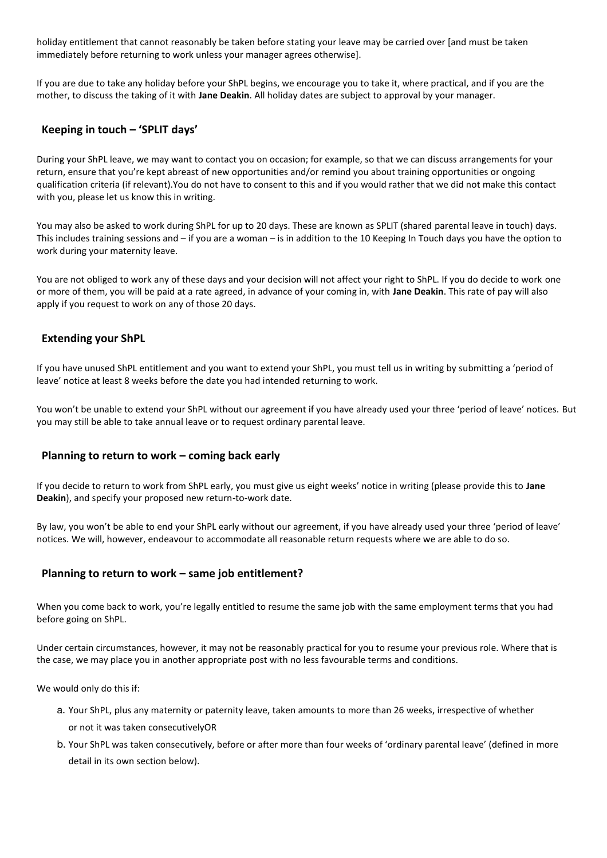holiday entitlement that cannot reasonably be taken before stating your leave may be carried over [and must be taken immediately before returning to work unless your manager agrees otherwise].

If you are due to take any holiday before your ShPL begins, we encourage you to take it, where practical, and if you are the mother, to discuss the taking of it with **Jane Deakin**. All holiday dates are subject to approval by your manager.

## **Keeping in touch – 'SPLIT days'**

During your ShPL leave, we may want to contact you on occasion; for example, so that we can discuss arrangements for your return, ensure that you're kept abreast of new opportunities and/or remind you about training opportunities or ongoing qualification criteria (if relevant).You do not have to consent to this and if you would rather that we did not make this contact with you, please let us know this in writing.

You may also be asked to work during ShPL for up to 20 days. These are known as SPLIT (shared parental leave in touch) days. This includes training sessions and – if you are a woman – is in addition to the 10 Keeping In Touch days you have the option to work during your maternity leave.

You are not obliged to work any of these days and your decision will not affect your right to ShPL. If you do decide to work one or more of them, you will be paid at a rate agreed, in advance of your coming in, with **Jane Deakin**. This rate of pay will also apply if you request to work on any of those 20 days.

## **Extending your ShPL**

If you have unused ShPL entitlement and you want to extend your ShPL, you must tell us in writing by submitting a 'period of leave' notice at least 8 weeks before the date you had intended returning to work.

You won't be unable to extend your ShPL without our agreement if you have already used your three 'period of leave' notices. But you may still be able to take annual leave or to request ordinary parental leave.

## **Planning to return to work – coming back early**

If you decide to return to work from ShPL early, you must give us eight weeks' notice in writing (please provide this to **Jane Deakin**), and specify your proposed new return-to-work date.

By law, you won't be able to end your ShPL early without our agreement, if you have already used your three 'period of leave' notices. We will, however, endeavour to accommodate all reasonable return requests where we are able to do so.

### **Planning to return to work – same job entitlement?**

When you come back to work, you're legally entitled to resume the same job with the same employment terms that you had before going on ShPL.

Under certain circumstances, however, it may not be reasonably practical for you to resume your previous role. Where that is the case, we may place you in another appropriate post with no less favourable terms and conditions.

We would only do this if:

- a. Your ShPL, plus any maternity or paternity leave, taken amounts to more than 26 weeks, irrespective of whether or not it was taken consecutivelyOR
- b. Your ShPL was taken consecutively, before or after more than four weeks of 'ordinary parental leave' (defined in more detail in its own section below).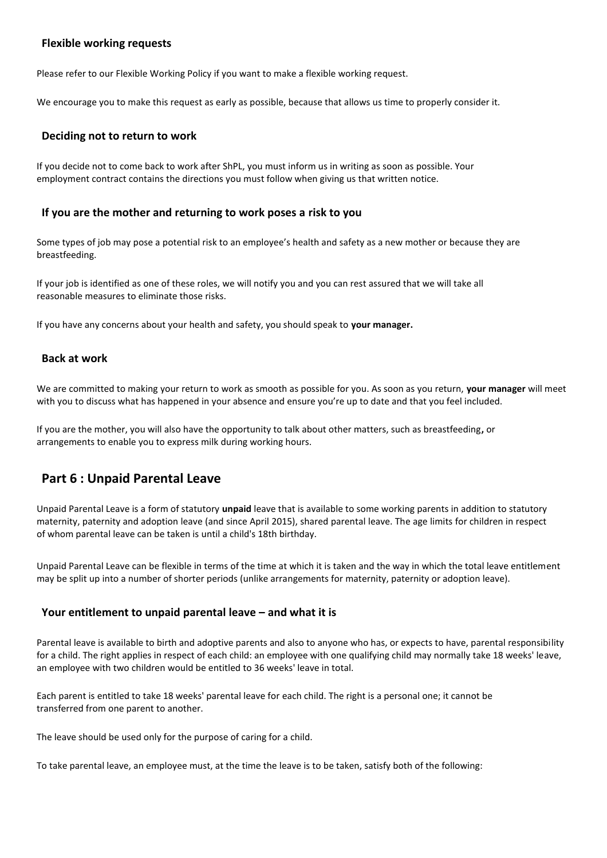### **Flexible working requests**

Please refer to our Flexible Working Policy if you want to make a flexible working request.

We encourage you to make this request as early as possible, because that allows us time to properly consider it.

### **Deciding not to return to work**

If you decide not to come back to work after ShPL, you must inform us in writing as soon as possible. Your employment contract contains the directions you must follow when giving us that written notice.

### **If you are the mother and returning to work poses a risk to you**

Some types of job may pose a potential risk to an employee's health and safety as a new mother or because they are breastfeeding.

If your job is identified as one of these roles, we will notify you and you can rest assured that we will take all reasonable measures to eliminate those risks.

If you have any concerns about your health and safety, you should speak to **your manager.**

### **Back at work**

We are committed to making your return to work as smooth as possible for you. As soon as you return, **your manager** will meet with you to discuss what has happened in your absence and ensure you're up to date and that you feel included.

If you are the mother, you will also have the opportunity to talk about other matters, such as breastfeeding**,** or arrangements to enable you to express milk during working hours.

## **Part 6 : Unpaid Parental Leave**

Unpaid Parental Leave is a form of statutory **unpaid** leave that is available to some working parents in addition to statutory maternity, paternity and adoption leave (and since April 2015), shared parental leave. The age limits for children in respect of whom parental leave can be taken is until a child's 18th birthday.

Unpaid Parental Leave can be flexible in terms of the time at which it is taken and the way in which the total leave entitlement may be split up into a number of shorter periods (unlike arrangements for maternity, paternity or adoption leave).

### **Your entitlement to unpaid parental leave – and what it is**

Parental leave is available to birth and adoptive parents and also to anyone who has, or expects to have, parental responsibility for a child. The right applies in respect of each child: an employee with one qualifying child may normally take 18 weeks' leave, an employee with two children would be entitled to 36 weeks' leave in total.

Each parent is entitled to take 18 weeks' parental leave for each child. The right is a personal one; it cannot be transferred from one parent to another.

The leave should be used only for the purpose of caring for a child.

To take parental leave, an employee must, at the time the leave is to be taken, satisfy both of the following: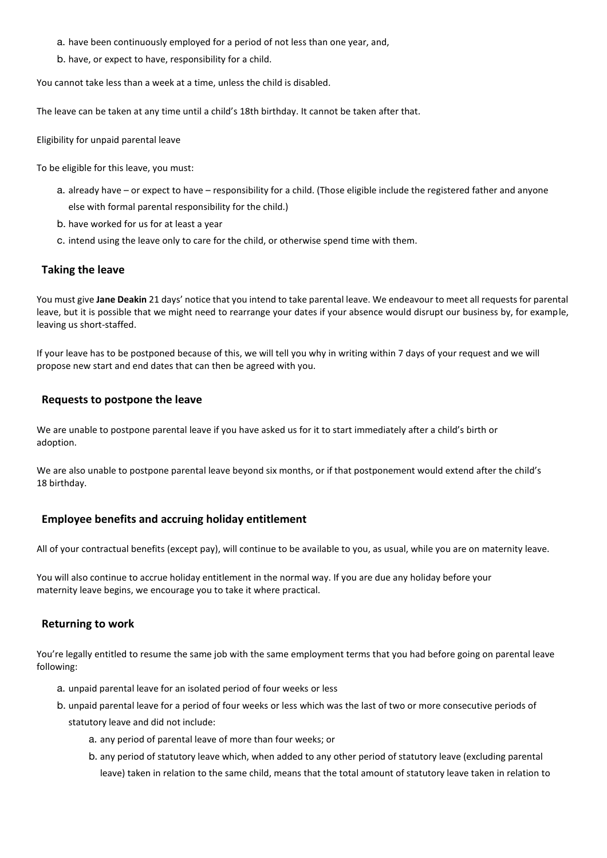- a. have been continuously employed for a period of not less than one year, and,
- b. have, or expect to have, responsibility for a child.

You cannot take less than a week at a time, unless the child is disabled.

The leave can be taken at any time until a child's 18th birthday. It cannot be taken after that.

Eligibility for unpaid parental leave

To be eligible for this leave, you must:

- a. already have or expect to have responsibility for a child. (Those eligible include the registered father and anyone else with formal parental responsibility for the child.)
- b. have worked for us for at least a year
- c. intend using the leave only to care for the child, or otherwise spend time with them.

### **Taking the leave**

You must give **Jane Deakin** 21 days' notice that you intend to take parental leave. We endeavour to meet all requests for parental leave, but it is possible that we might need to rearrange your dates if your absence would disrupt our business by, for example, leaving us short-staffed.

If your leave has to be postponed because of this, we will tell you why in writing within 7 days of your request and we will propose new start and end dates that can then be agreed with you.

#### **Requests to postpone the leave**

We are unable to postpone parental leave if you have asked us for it to start immediately after a child's birth or adoption.

We are also unable to postpone parental leave beyond six months, or if that postponement would extend after the child's 18 birthday.

### **Employee benefits and accruing holiday entitlement**

All of your contractual benefits (except pay), will continue to be available to you, as usual, while you are on maternity leave.

You will also continue to accrue holiday entitlement in the normal way. If you are due any holiday before your maternity leave begins, we encourage you to take it where practical.

### **Returning to work**

You're legally entitled to resume the same job with the same employment terms that you had before going on parental leave following:

- a. unpaid parental leave for an isolated period of four weeks or less
- b. unpaid parental leave for a period of four weeks or less which was the last of two or more consecutive periods of statutory leave and did not include:
	- a. any period of parental leave of more than four weeks; or
	- b. any period of statutory leave which, when added to any other period of statutory leave (excluding parental leave) taken in relation to the same child, means that the total amount of statutory leave taken in relation to